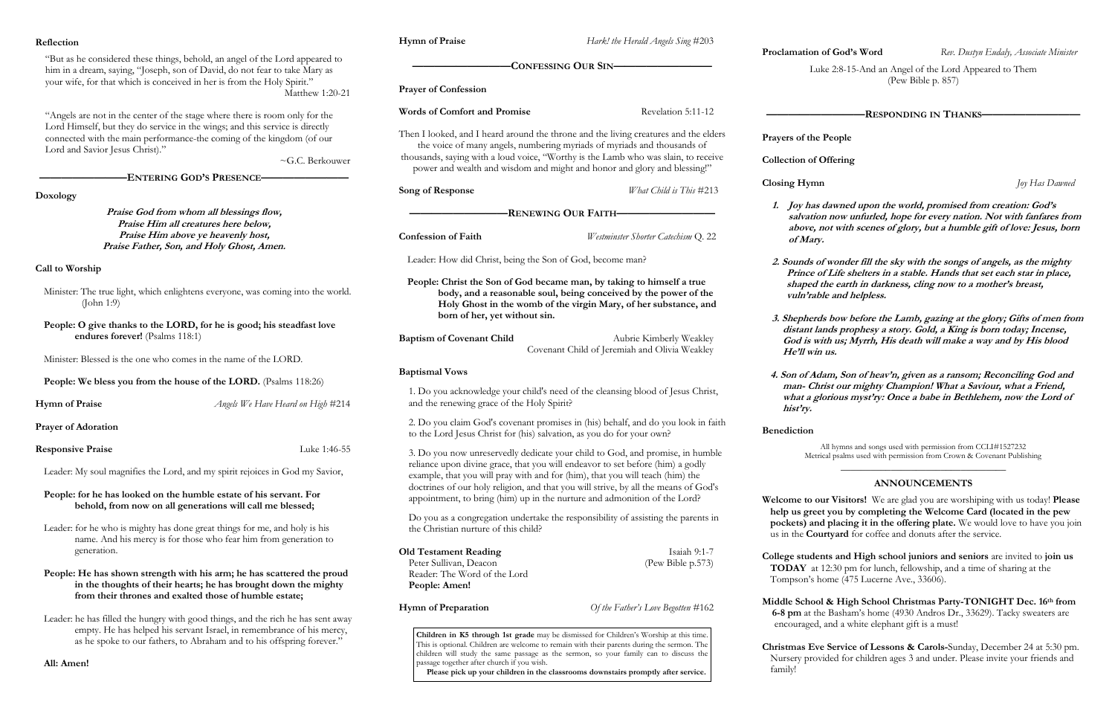ke 2:8-15-And an Angel of the Lord Appeared to Them (Pew Bible p. 857)

dawned upon the world, promised from creation: God's **salvation now unfurled, hope for every nation. Not with fanfares from above, not with scenes of glory, but a humble gift of love: Jesus, born** 

**2. Sounds of wonder fill the sky with the songs of angels, as the mighty Prince of Life shelters in a stable. Hands that set each star in place,**  the earth in darkness, cling now to a mother's breast, ble and helpless.

Is bow before the Lamb, gazing at the glory; Gifts of men from ands prophesy a story. Gold, a King is born today; Incense, **God is with us; Myrrh, His death will make a way and by His blood us.** 

**4. Son of Adam, Son of heav'n, given as a ransom; Reconciling God and man- Christ our mighty Champion! What a Saviour, what a Friend,**  lorious myst'ry: Once a babe in Bethlehem, now the Lord of

All hymns and songs used with permission from CCLI#1527232 ical psalms used with permission from Crown & Covenant Publishing

**Welcome to our Visitors!** We are glad you are worshiping with us today! **Please help us greet you by completing the Welcome Card (located in the pew d placing it in the offering plate.** We would love to have you join urtyard for coffee and donuts after the service.

**College students and High school juniors and seniors** are invited to **join us**  12:30 pm for lunch, fellowship, and a time of sharing at the ome (475 Lucerne Ave., 33606).

**Middle School & High School Christmas Party-TONIGHT Dec. 16th from**  le Basham's home (4930 Andros Dr., 33629). Tacky sweaters are and a white elephant gift is a must!

**e Service of Lessons & Carols-**Sunday, December 24 at 5:30 pm. vided for children ages 3 and under. Please invite your friends and

| Reflection                                                                                                                                                  |                                                                                                                                                                                                     | <b>Hymn of Praise</b>                                                                                                                                           | Hark! the Herald Angels Sing #203                                                                                                                                                                                                                                             |                                                        |
|-------------------------------------------------------------------------------------------------------------------------------------------------------------|-----------------------------------------------------------------------------------------------------------------------------------------------------------------------------------------------------|-----------------------------------------------------------------------------------------------------------------------------------------------------------------|-------------------------------------------------------------------------------------------------------------------------------------------------------------------------------------------------------------------------------------------------------------------------------|--------------------------------------------------------|
| "But as he considered these things, behold, an angel of the Lord appeared to<br>him in a dream, saying, "Joseph, son of David, do not fear to take Mary as  |                                                                                                                                                                                                     | <b>CONFESSING OUR SIN-</b>                                                                                                                                      |                                                                                                                                                                                                                                                                               | Proclamation<br>Luk                                    |
|                                                                                                                                                             | your wife, for that which is conceived in her is from the Holy Spirit."<br>Matthew 1:20-21                                                                                                          | <b>Prayer of Confession</b>                                                                                                                                     |                                                                                                                                                                                                                                                                               |                                                        |
| "Angels are not in the center of the stage where there is room only for the<br>Lord Himself, but they do service in the wings; and this service is directly |                                                                                                                                                                                                     | <b>Words of Comfort and Promise</b>                                                                                                                             | Revelation 5:11-12                                                                                                                                                                                                                                                            |                                                        |
| Lord and Savior Jesus Christ)."                                                                                                                             | connected with the main performance-the coming of the kingdom (of our                                                                                                                               | Then I looked, and I heard around the throne and the living creatures and the elders<br>the voice of many angels, numbering myriads of myriads and thousands of |                                                                                                                                                                                                                                                                               | Prayers of the                                         |
| ~G.C. Berkouwer<br><b>ENTERING GOD'S PRESENCE-</b>                                                                                                          |                                                                                                                                                                                                     | thousands, saying with a loud voice, "Worthy is the Lamb who was slain, to receive<br>power and wealth and wisdom and might and honor and glory and blessing!"  |                                                                                                                                                                                                                                                                               | Collection of C                                        |
| Doxology                                                                                                                                                    |                                                                                                                                                                                                     | Song of Response                                                                                                                                                | What Child is This #213                                                                                                                                                                                                                                                       | <b>Closing Hymn</b>                                    |
| Praise God from whom all blessings flow,<br>Praise Him all creatures here below,                                                                            |                                                                                                                                                                                                     | -RENEWING OUR FAITH-                                                                                                                                            |                                                                                                                                                                                                                                                                               | Joy has<br>salvation                                   |
| Praise Him above ye heavenly host,<br>Praise Father, Son, and Holy Ghost, Amen.                                                                             |                                                                                                                                                                                                     | <b>Confession of Faith</b>                                                                                                                                      | Westminster Shorter Catechism Q. 22                                                                                                                                                                                                                                           | above, n<br>of Mary.                                   |
| Call to Worship                                                                                                                                             |                                                                                                                                                                                                     | Leader: How did Christ, being the Son of God, become man?                                                                                                       |                                                                                                                                                                                                                                                                               | 2. Sounds of<br>Prince of                              |
| Minister: The true light, which enlightens everyone, was coming into the world.<br>(John 1:9)                                                               |                                                                                                                                                                                                     |                                                                                                                                                                 | People: Christ the Son of God became man, by taking to himself a true<br>body, and a reasonable soul, being conceived by the power of the<br>Holy Ghost in the womb of the virgin Mary, of her substance, and                                                                 | shaped t<br>vuln'rab                                   |
| People: O give thanks to the LORD, for he is good; his steadfast love<br>endures forever! (Psalms 118:1)                                                    |                                                                                                                                                                                                     | born of her, yet without sin.<br><b>Baptism of Covenant Child</b>                                                                                               | Aubrie Kimberly Weakley                                                                                                                                                                                                                                                       | 3. Shepherd.<br>distant la<br>God is wi                |
| Minister: Blessed is the one who comes in the name of the LORD.                                                                                             |                                                                                                                                                                                                     |                                                                                                                                                                 | Covenant Child of Jeremiah and Olivia Weakley                                                                                                                                                                                                                                 | He'll win                                              |
| <b>People: We bless you from the house of the LORD.</b> (Psalms 118:26)                                                                                     |                                                                                                                                                                                                     | <b>Baptismal Vows</b>                                                                                                                                           | 1. Do you acknowledge your child's need of the cleansing blood of Jesus Christ,                                                                                                                                                                                               | 4. Son of Ada<br>man-Chr                               |
| <b>Hymn of Praise</b>                                                                                                                                       | Angels We Have Heard on High #214                                                                                                                                                                   | and the renewing grace of the Holy Spirit?                                                                                                                      |                                                                                                                                                                                                                                                                               | what a gle<br>hist'ry.                                 |
| <b>Prayer of Adoration</b>                                                                                                                                  |                                                                                                                                                                                                     | to the Lord Jesus Christ for (his) salvation, as you do for your own?                                                                                           | 2. Do you claim God's covenant promises in (his) behalf, and do you look in faith                                                                                                                                                                                             | <b>Benediction</b>                                     |
| <b>Responsive Praise</b>                                                                                                                                    | Luke 1:46-55                                                                                                                                                                                        |                                                                                                                                                                 | 3. Do you now unreservedly dedicate your child to God, and promise, in humble                                                                                                                                                                                                 | Metric                                                 |
| Leader: My soul magnifies the Lord, and my spirit rejoices in God my Savior,                                                                                |                                                                                                                                                                                                     |                                                                                                                                                                 | reliance upon divine grace, that you will endeavor to set before (him) a godly<br>example, that you will pray with and for (him), that you will teach (him) the<br>doctrines of our holy religion, and that you will strive, by all the means of God's                        |                                                        |
| People: for he has looked on the humble estate of his servant. For<br>behold, from now on all generations will call me blessed;                             |                                                                                                                                                                                                     |                                                                                                                                                                 | appointment, to bring (him) up in the nurture and admonition of the Lord?                                                                                                                                                                                                     | Welcome to ou<br>help us greet                         |
| Leader: for he who is mighty has done great things for me, and holy is his<br>name. And his mercy is for those who fear him from generation to              |                                                                                                                                                                                                     | the Christian nurture of this child?                                                                                                                            | Do you as a congregation undertake the responsibility of assisting the parents in                                                                                                                                                                                             | pockets) and<br>us in the Cou                          |
| generation.                                                                                                                                                 |                                                                                                                                                                                                     | <b>Old Testament Reading</b><br>Peter Sullivan, Deacon                                                                                                          | Isaiah 9:1-7<br>(Pew Bible p.573)                                                                                                                                                                                                                                             | College studer<br>TODAY at 1                           |
|                                                                                                                                                             | People: He has shown strength with his arm; he has scattered the proud<br>in the thoughts of their hearts; he has brought down the mighty<br>from their thrones and exalted those of humble estate; | Reader: The Word of the Lord<br>People: Amen!                                                                                                                   |                                                                                                                                                                                                                                                                               | Tompson's he                                           |
|                                                                                                                                                             | Leader: he has filled the hungry with good things, and the rich he has sent away                                                                                                                    | <b>Hymn of Preparation</b>                                                                                                                                      | Of the Father's Love Begotten #162                                                                                                                                                                                                                                            | <b>Middle School</b><br>$6-8$ pm at the<br>encouraged, |
| empty. He has helped his servant Israel, in remembrance of his mercy,<br>as he spoke to our fathers, to Abraham and to his offspring forever."              |                                                                                                                                                                                                     |                                                                                                                                                                 | Children in K5 through 1st grade may be dismissed for Children's Worship at this time.<br>This is optional. Children are welcome to remain with their parents during the sermon. The<br>children will study the same passage as the sermon, so your family can to discuss the | Christmas Eve                                          |
| All: Amen!                                                                                                                                                  |                                                                                                                                                                                                     | passage together after church if you wish.                                                                                                                      | Please pick up your children in the classrooms downstairs promptly after service                                                                                                                                                                                              | Nursery prov.<br>family!                               |

**Please pick up your children in the classrooms downstairs promptly after service.**

**Process Sevent Process Cod's Word** *Rev. Dustyn Eudaly, Associate Minister* 

#### **—————————RESPONDING IN THANKS—————————**

#### **People**

#### **Offering**

**Closing Hymn** *Joy Has Dawned*

# \_\_\_\_\_\_\_\_\_\_\_\_\_\_\_\_\_\_\_\_\_\_\_\_\_\_\_\_\_\_\_\_\_ **ANNOUNCEMENTS**